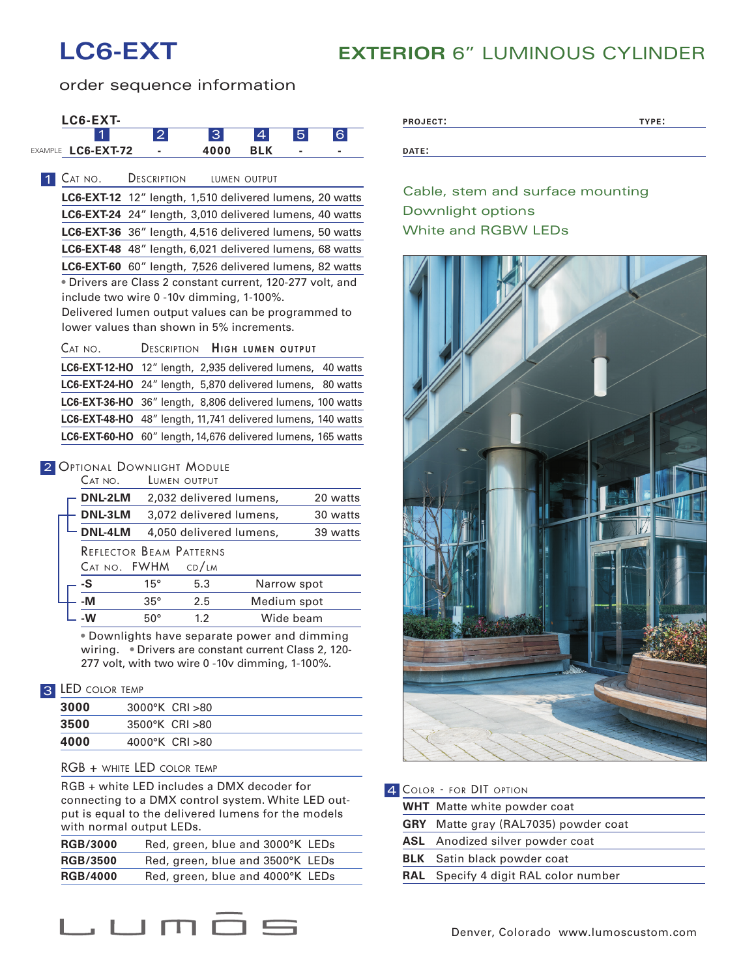## **LC6-EXT EXTERIOR** 6" LUMINOUS CYLINDER

order sequence information



| <b>RGB/3000</b> | Red, green, blue and 3000°K LEDs |
|-----------------|----------------------------------|
| <b>RGB/3500</b> | Red, green, blue and 3500°K LEDs |
| <b>RGB/4000</b> | Red, green, blue and 4000°K LEDs |
|                 |                                  |

| <b>PROJECT:</b> | TYPE: |
|-----------------|-------|
|                 |       |
|                 |       |

Cable, stem and surface mounting Downlight options White and RGBW LEDs



| 4 COLOR - FOR DIT OPTION           |                                             |  |
|------------------------------------|---------------------------------------------|--|
| <b>WHT</b> Matte white powder coat |                                             |  |
|                                    | <b>GRY</b> Matte gray (RAL7035) powder coat |  |
|                                    | <b>ASL</b> Anodized silver powder coat      |  |
|                                    | <b>BLK</b> Satin black powder coat          |  |
|                                    | RAL Specify 4 digit RAL color number        |  |
|                                    |                                             |  |